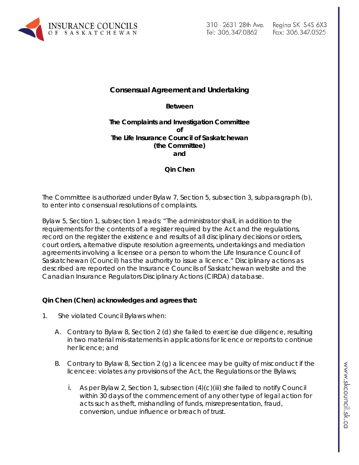

# **Consensual Agreement and Undertaking**

**Between**

#### **The Complaints and Investigation Committee of The Life Insurance Council of Saskatchewan (the Committee) and**

**Qin Chen**

The Committee is authorized under Bylaw 7, Section 5, subsection 3, subparagraph (b), to enter into consensual resolutions of complaints.

Bylaw 5, Section 1, subsection 1 reads: "The administrator shall, in addition to the requirements for the contents of a register required by the Act and the regulations, record on the register the existence and results of all disciplinary decisions or orders, court orders, alternative dispute resolution agreements, undertakings and mediation agreements involving a licensee or a person to whom the Life Insurance Council of Saskatchewan (Council) has the authority to issue a licence." Disciplinary actions as described are reported on the Insurance Councils of Saskatchewan website and the Canadian Insurance Regulators Disciplinary Actions (CIRDA) database.

## **Qin Chen (Chen) acknowledges and agrees that:**

- 1. She violated Council Bylaws when:
	- A. Contrary to Bylaw 8, Section 2 (d) she failed to exercise due diligence, resulting in two material mis-statements in applications for licence or reports to continue her licence; and
	- B. Contrary to Bylaw 8, Section 2 (g) a licencee may be guilty of misconduct if the licencee: violates any provisions of the Act, the Regulations or the Bylaws;
		- i. As per Bylaw 2, Section 1, subsection  $(4)(c)(iii)$  she failed to notify Council within 30 days of the commencement of any other type of legal action for acts such as theft, mishandling of funds, misrepresentation, fraud, conversion, undue influence or breach of trust.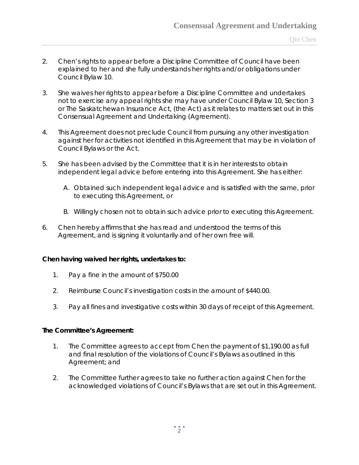- 2. Chen's rights to appear before a Discipline Committee of Council have been explained to her and she fully understands her rights and/or obligations under Council Bylaw 10.
- 3. She waives her rights to appear before a Discipline Committee and undertakes not to exercise any appeal rights she may have under Council Bylaw 10, Section 3 or *The Saskatchewan Insurance Act,* (the Act) as it relates to matters set out in this Consensual Agreement and Undertaking (Agreement).
- 4. This Agreement does not preclude Council from pursuing any other investigation against her for activities not identified in this Agreement that may be in violation of Council Bylaws or the Act.
- 5. She has been advised by the Committee that it is in her interests to obtain independent legal advice before entering into this Agreement. She has either:
	- A. Obtained such independent legal advice and is satisfied with the same, prior to executing this Agreement, or
	- B. Willingly chosen not to obtain such advice prior to executing this Agreement.
- 6. Chen hereby affirms that she has read and understood the terms of this Agreement, and is signing it voluntarily and of her own free will.

## **Chen having waived her rights, undertakes to:**

- 1. Pay a fine in the amount of \$750.00
- 2. Reimburse Council's investigation costs in the amount of \$440.00.
- 3. Pay all fines and investigative costs within 30 days of receipt of this Agreement.

#### **The Committee's Agreement:**

- 1. The Committee agrees to accept from Chen the payment of \$1,190.00 as full and final resolution of the violations of Council's Bylaws as outlined in this Agreement; and
- 2. The Committee further agrees to take no further action against Chen for the acknowledged violations of Council's Bylaws that are set out in this Agreement.